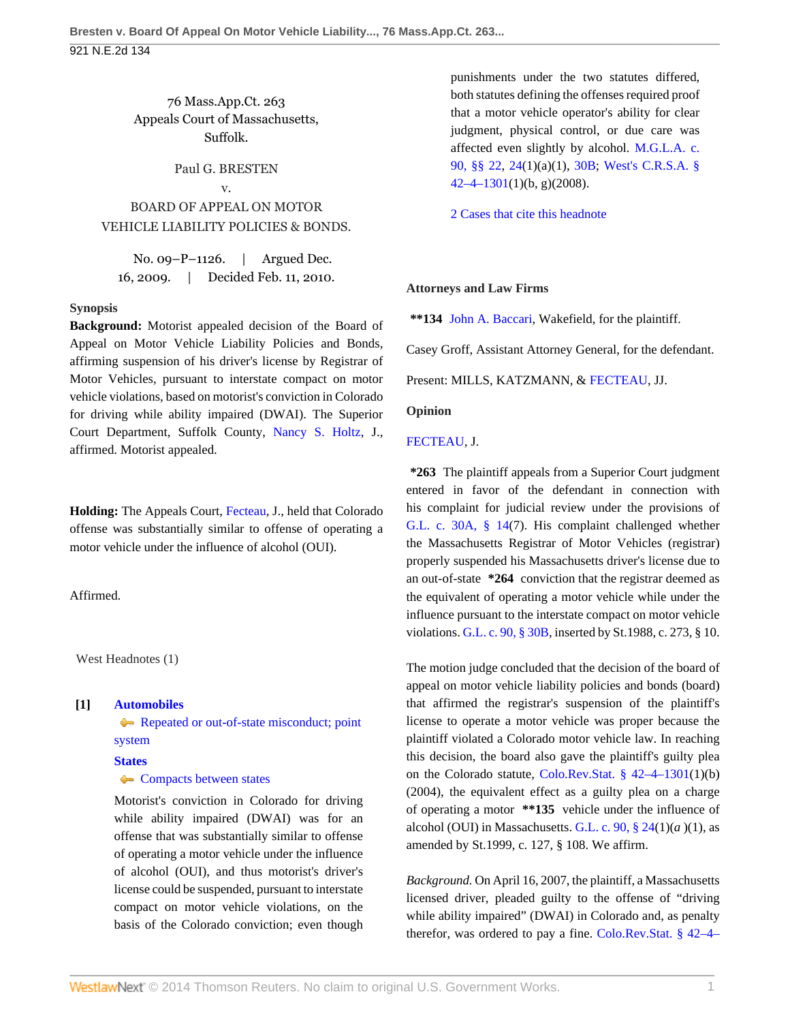76 Mass.App.Ct. 263 Appeals Court of Massachusetts, Suffolk.

Paul G. BRESTEN

v. BOARD OF APPEAL ON MOTOR VEHICLE LIABILITY POLICIES & BONDS.

No. 09–P–1126. | Argued Dec. 16, 2009. | Decided Feb. 11, 2010.

### **Synopsis**

**Background:** Motorist appealed decision of the Board of Appeal on Motor Vehicle Liability Policies and Bonds, affirming suspension of his driver's license by Registrar of Motor Vehicles, pursuant to interstate compact on motor vehicle violations, based on motorist's conviction in Colorado for driving while ability impaired (DWAI). The Superior Court Department, Suffolk County, [Nancy S. Holtz,](http://www.westlaw.com/Link/Document/FullText?findType=h&pubNum=176284&cite=0393588701&originatingDoc=Ia294d128165411df9988d233d23fe599&refType=RQ&originationContext=document&vr=3.0&rs=cblt1.0&transitionType=DocumentItem&contextData=(sc.Search)) J., affirmed. Motorist appealed.

**Holding:** The Appeals Court, [Fecteau](http://www.westlaw.com/Link/Document/FullText?findType=h&pubNum=176284&cite=0291377501&originatingDoc=Ia294d128165411df9988d233d23fe599&refType=RQ&originationContext=document&vr=3.0&rs=cblt1.0&transitionType=DocumentItem&contextData=(sc.Search)), J., held that Colorado offense was substantially similar to offense of operating a motor vehicle under the influence of alcohol (OUI).

Affirmed.

West Headnotes (1)

# **[1] [Automobiles](http://www.westlaw.com/Browse/Home/KeyNumber/48A/View.html?docGuid=Ia294d128165411df9988d233d23fe599&originationContext=document&vr=3.0&rs=cblt1.0&transitionType=DocumentItem&contextData=(sc.Search))**

[Repeated or out-of-state misconduct; point](http://www.westlaw.com/Browse/Home/KeyNumber/48Ak144.1(3)/View.html?docGuid=Ia294d128165411df9988d233d23fe599&originationContext=document&vr=3.0&rs=cblt1.0&transitionType=DocumentItem&contextData=(sc.Search)) [system](http://www.westlaw.com/Browse/Home/KeyNumber/48Ak144.1(3)/View.html?docGuid=Ia294d128165411df9988d233d23fe599&originationContext=document&vr=3.0&rs=cblt1.0&transitionType=DocumentItem&contextData=(sc.Search))

**[States](http://www.westlaw.com/Browse/Home/KeyNumber/360/View.html?docGuid=Ia294d128165411df9988d233d23fe599&originationContext=document&vr=3.0&rs=cblt1.0&transitionType=DocumentItem&contextData=(sc.Search))**

### **[Compacts between states](http://www.westlaw.com/Browse/Home/KeyNumber/360k6/View.html?docGuid=Ia294d128165411df9988d233d23fe599&originationContext=document&vr=3.0&rs=cblt1.0&transitionType=DocumentItem&contextData=(sc.Search))**

Motorist's conviction in Colorado for driving while ability impaired (DWAI) was for an offense that was substantially similar to offense of operating a motor vehicle under the influence of alcohol (OUI), and thus motorist's driver's license could be suspended, pursuant to interstate compact on motor vehicle violations, on the basis of the Colorado conviction; even though

punishments under the two statutes differed, both statutes defining the offenses required proof that a motor vehicle operator's ability for clear judgment, physical control, or due care was affected even slightly by alcohol. [M.G.L.A. c.](http://www.westlaw.com/Link/Document/FullText?findType=L&pubNum=1000042&cite=MAST90S22&originatingDoc=Ia294d128165411df9988d233d23fe599&refType=LQ&originationContext=document&vr=3.0&rs=cblt1.0&transitionType=DocumentItem&contextData=(sc.Search)) [90, §§ 22,](http://www.westlaw.com/Link/Document/FullText?findType=L&pubNum=1000042&cite=MAST90S22&originatingDoc=Ia294d128165411df9988d233d23fe599&refType=LQ&originationContext=document&vr=3.0&rs=cblt1.0&transitionType=DocumentItem&contextData=(sc.Search)) [24\(](http://www.westlaw.com/Link/Document/FullText?findType=L&pubNum=1000042&cite=MAST90S24&originatingDoc=Ia294d128165411df9988d233d23fe599&refType=LQ&originationContext=document&vr=3.0&rs=cblt1.0&transitionType=DocumentItem&contextData=(sc.Search))1)(a)(1), [30B;](http://www.westlaw.com/Link/Document/FullText?findType=L&pubNum=1000042&cite=MAST90S30B&originatingDoc=Ia294d128165411df9988d233d23fe599&refType=LQ&originationContext=document&vr=3.0&rs=cblt1.0&transitionType=DocumentItem&contextData=(sc.Search)) [West's C.R.S.A. §](http://www.westlaw.com/Link/Document/FullText?findType=L&pubNum=1000517&cite=COSTS42-4-1301&originatingDoc=Ia294d128165411df9988d233d23fe599&refType=LQ&originationContext=document&vr=3.0&rs=cblt1.0&transitionType=DocumentItem&contextData=(sc.Search))  $42-4-1301(1)(b, g)(2008)$ .

[2 Cases that cite this headnote](http://www.westlaw.com/Link/RelatedInformation/DocHeadnoteLink?docGuid=Ia294d128165411df9988d233d23fe599&headnoteId=202132413000120100915225102&originationContext=document&vr=3.0&rs=cblt1.0&transitionType=CitingReferences&contextData=(sc.Search))

# **Attorneys and Law Firms**

**\*\*134** [John A. Baccari,](http://www.westlaw.com/Link/Document/FullText?findType=h&pubNum=176284&cite=0156381101&originatingDoc=Ia294d128165411df9988d233d23fe599&refType=RQ&originationContext=document&vr=3.0&rs=cblt1.0&transitionType=DocumentItem&contextData=(sc.Search)) Wakefield, for the plaintiff.

Casey Groff, Assistant Attorney General, for the defendant.

Present: MILLS, KATZMANN, & [FECTEAU](http://www.westlaw.com/Link/Document/FullText?findType=h&pubNum=176284&cite=0291377501&originatingDoc=Ia294d128165411df9988d233d23fe599&refType=RQ&originationContext=document&vr=3.0&rs=cblt1.0&transitionType=DocumentItem&contextData=(sc.Search)), JJ.

# **Opinion**

# [FECTEAU](http://www.westlaw.com/Link/Document/FullText?findType=h&pubNum=176284&cite=0291377501&originatingDoc=Ia294d128165411df9988d233d23fe599&refType=RQ&originationContext=document&vr=3.0&rs=cblt1.0&transitionType=DocumentItem&contextData=(sc.Search)), J.

**\*263** The plaintiff appeals from a Superior Court judgment entered in favor of the defendant in connection with his complaint for judicial review under the provisions of [G.L. c. 30A, § 14\(](http://www.westlaw.com/Link/Document/FullText?findType=L&pubNum=1000042&cite=MAST30AS14&originatingDoc=Ia294d128165411df9988d233d23fe599&refType=LQ&originationContext=document&vr=3.0&rs=cblt1.0&transitionType=DocumentItem&contextData=(sc.Search))7). His complaint challenged whether the Massachusetts Registrar of Motor Vehicles (registrar) properly suspended his Massachusetts driver's license due to an out-of-state **\*264** conviction that the registrar deemed as the equivalent of operating a motor vehicle while under the influence pursuant to the interstate compact on motor vehicle violations. [G.L. c. 90, § 30B,](http://www.westlaw.com/Link/Document/FullText?findType=L&pubNum=1000042&cite=MAST90S30B&originatingDoc=Ia294d128165411df9988d233d23fe599&refType=LQ&originationContext=document&vr=3.0&rs=cblt1.0&transitionType=DocumentItem&contextData=(sc.Search)) inserted by St.1988, c. 273, § 10.

The motion judge concluded that the decision of the board of appeal on motor vehicle liability policies and bonds (board) that affirmed the registrar's suspension of the plaintiff's license to operate a motor vehicle was proper because the plaintiff violated a Colorado motor vehicle law. In reaching this decision, the board also gave the plaintiff's guilty plea on the Colorado statute, [Colo.Rev.Stat. § 42–4–1301\(](http://www.westlaw.com/Link/Document/FullText?findType=L&pubNum=1000517&cite=COSTS42-4-1301&originatingDoc=Ia294d128165411df9988d233d23fe599&refType=LQ&originationContext=document&vr=3.0&rs=cblt1.0&transitionType=DocumentItem&contextData=(sc.Search))1)(b) (2004), the equivalent effect as a guilty plea on a charge of operating a motor **\*\*135** vehicle under the influence of alcohol (OUI) in Massachusetts. [G.L. c. 90, § 24\(](http://www.westlaw.com/Link/Document/FullText?findType=L&pubNum=1000042&cite=MAST90S24&originatingDoc=Ia294d128165411df9988d233d23fe599&refType=LQ&originationContext=document&vr=3.0&rs=cblt1.0&transitionType=DocumentItem&contextData=(sc.Search))1)(*a* )(1), as amended by St.1999, c. 127, § 108. We affirm.

*Background.* On April 16, 2007, the plaintiff, a Massachusetts licensed driver, pleaded guilty to the offense of "driving while ability impaired" (DWAI) in Colorado and, as penalty therefor, was ordered to pay a fine. [Colo.Rev.Stat. § 42–4–](http://www.westlaw.com/Link/Document/FullText?findType=L&pubNum=1000517&cite=COSTS42-4-1301&originatingDoc=Ia294d128165411df9988d233d23fe599&refType=LQ&originationContext=document&vr=3.0&rs=cblt1.0&transitionType=DocumentItem&contextData=(sc.Search))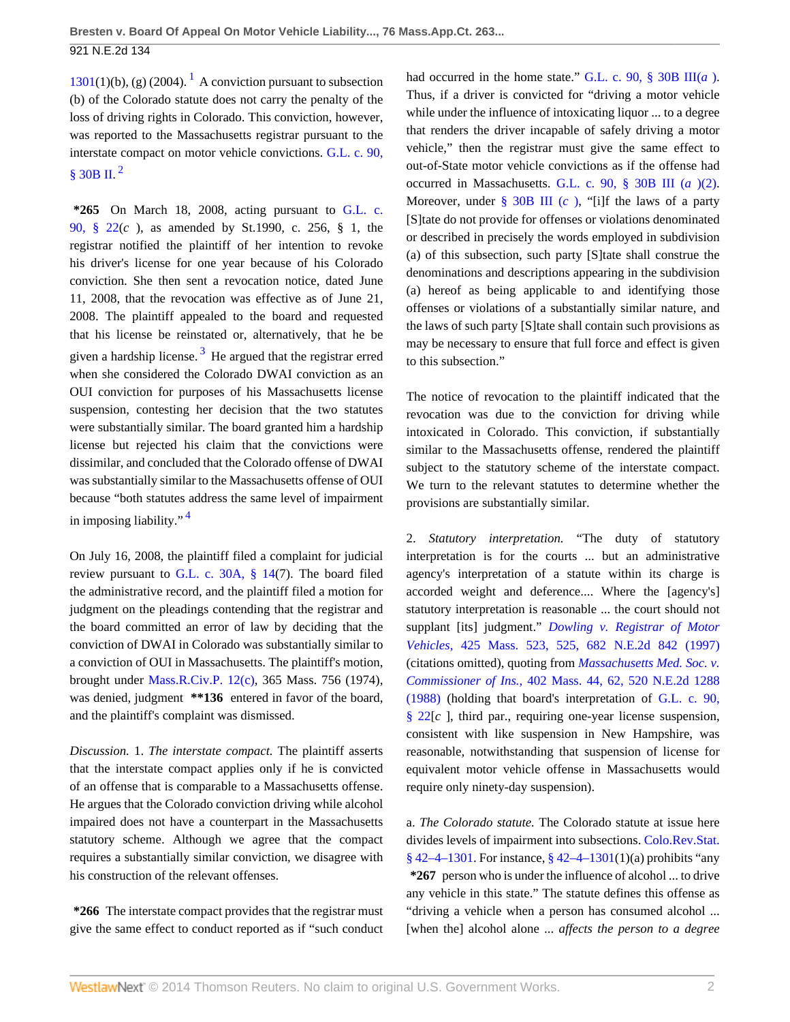<span id="page-1-0"></span> $1301(1)$  $1301(1)$  $1301(1)$  $1301(1)$ (b), (g) (2004).<sup>1</sup> A conviction pursuant to subsection (b) of the Colorado statute does not carry the penalty of the loss of driving rights in Colorado. This conviction, however, was reported to the Massachusetts registrar pursuant to the interstate compact on motor vehicle convictions. [G.L. c. 90,](http://www.westlaw.com/Link/Document/FullText?findType=L&pubNum=1000042&cite=MAST90S30B&originatingDoc=Ia294d128165411df9988d233d23fe599&refType=LQ&originationContext=document&vr=3.0&rs=cblt1.0&transitionType=DocumentItem&contextData=(sc.Search))  $§ 30B$  [II](http://www.westlaw.com/Link/Document/FullText?findType=L&pubNum=1000042&cite=MAST90S2&originatingDoc=Ia294d128165411df9988d233d23fe599&refType=LQ&originationContext=document&vr=3.0&rs=cblt1.0&transitionType=DocumentItem&contextData=(sc.Search)).<sup>[2](#page-3-1)</sup>

<span id="page-1-2"></span><span id="page-1-1"></span>**\*265** On March 18, 2008, acting pursuant to [G.L. c.](http://www.westlaw.com/Link/Document/FullText?findType=L&pubNum=1000042&cite=MAST90S22&originatingDoc=Ia294d128165411df9988d233d23fe599&refType=LQ&originationContext=document&vr=3.0&rs=cblt1.0&transitionType=DocumentItem&contextData=(sc.Search)) [90, § 22](http://www.westlaw.com/Link/Document/FullText?findType=L&pubNum=1000042&cite=MAST90S22&originatingDoc=Ia294d128165411df9988d233d23fe599&refType=LQ&originationContext=document&vr=3.0&rs=cblt1.0&transitionType=DocumentItem&contextData=(sc.Search))(*c* ), as amended by St.1990, c. 256, § 1, the registrar notified the plaintiff of her intention to revoke his driver's license for one year because of his Colorado conviction. She then sent a revocation notice, dated June 11, 2008, that the revocation was effective as of June 21, 2008. The plaintiff appealed to the board and requested that his license be reinstated or, alternatively, that he be given a hardship license.<sup>[3](#page-3-2)</sup> He argued that the registrar erred when she considered the Colorado DWAI conviction as an OUI conviction for purposes of his Massachusetts license suspension, contesting her decision that the two statutes were substantially similar. The board granted him a hardship license but rejected his claim that the convictions were dissimilar, and concluded that the Colorado offense of DWAI was substantially similar to the Massachusetts offense of OUI because "both statutes address the same level of impairment in imposing liability." [4](#page-3-3)

<span id="page-1-3"></span>On July 16, 2008, the plaintiff filed a complaint for judicial review pursuant to [G.L. c. 30A, § 14](http://www.westlaw.com/Link/Document/FullText?findType=L&pubNum=1000042&cite=MAST30AS14&originatingDoc=Ia294d128165411df9988d233d23fe599&refType=LQ&originationContext=document&vr=3.0&rs=cblt1.0&transitionType=DocumentItem&contextData=(sc.Search))(7). The board filed the administrative record, and the plaintiff filed a motion for judgment on the pleadings contending that the registrar and the board committed an error of law by deciding that the conviction of DWAI in Colorado was substantially similar to a conviction of OUI in Massachusetts. The plaintiff's motion, brought under [Mass.R.Civ.P. 12\(c\)](http://www.westlaw.com/Link/Document/FullText?findType=L&pubNum=1000042&cite=MASTRCPR12&originatingDoc=Ia294d128165411df9988d233d23fe599&refType=LQ&originationContext=document&vr=3.0&rs=cblt1.0&transitionType=DocumentItem&contextData=(sc.Search)), 365 Mass. 756 (1974), was denied, judgment **\*\*136** entered in favor of the board, and the plaintiff's complaint was dismissed.

*Discussion.* 1. *The interstate compact.* The plaintiff asserts that the interstate compact applies only if he is convicted of an offense that is comparable to a Massachusetts offense. He argues that the Colorado conviction driving while alcohol impaired does not have a counterpart in the Massachusetts statutory scheme. Although we agree that the compact requires a substantially similar conviction, we disagree with his construction of the relevant offenses.

**\*266** The interstate compact provides that the registrar must give the same effect to conduct reported as if "such conduct had occurred in the home state." G.L. c. 90,  $\S$  30B [III\(](http://www.westlaw.com/Link/Document/FullText?findType=L&pubNum=1000042&cite=MAST90S3&originatingDoc=Ia294d128165411df9988d233d23fe599&refType=LQ&originationContext=document&vr=3.0&rs=cblt1.0&transitionType=DocumentItem&contextData=(sc.Search))*a*). Thus, if a driver is convicted for "driving a motor vehicle while under the influence of intoxicating liquor ... to a degree that renders the driver incapable of safely driving a motor vehicle," then the registrar must give the same effect to out-of-State motor vehicle convictions as if the offense had occurred in Massachusetts. [G.L. c. 90, § 30B](http://www.westlaw.com/Link/Document/FullText?findType=L&pubNum=1000042&cite=MAST90S30B&originatingDoc=Ia294d128165411df9988d233d23fe599&refType=LQ&originationContext=document&vr=3.0&rs=cblt1.0&transitionType=DocumentItem&contextData=(sc.Search)) III (*a* [\)\(2\)](http://www.westlaw.com/Link/Document/FullText?findType=L&pubNum=1000042&cite=MAST90S3&originatingDoc=Ia294d128165411df9988d233d23fe599&refType=LQ&originationContext=document&vr=3.0&rs=cblt1.0&transitionType=DocumentItem&contextData=(sc.Search)). Moreover, under [§ 30B](http://www.westlaw.com/Link/Document/FullText?findType=L&pubNum=1000042&cite=MAST90S30B&originatingDoc=Ia294d128165411df9988d233d23fe599&refType=LQ&originationContext=document&vr=3.0&rs=cblt1.0&transitionType=DocumentItem&contextData=(sc.Search)) [III \(](http://www.westlaw.com/Link/Document/FullText?findType=L&pubNum=1000042&cite=MAST90S3&originatingDoc=Ia294d128165411df9988d233d23fe599&refType=LQ&originationContext=document&vr=3.0&rs=cblt1.0&transitionType=DocumentItem&contextData=(sc.Search))*c* ), "[i]f the laws of a party [S]tate do not provide for offenses or violations denominated or described in precisely the words employed in subdivision (a) of this subsection, such party [S]tate shall construe the denominations and descriptions appearing in the subdivision (a) hereof as being applicable to and identifying those offenses or violations of a substantially similar nature, and the laws of such party [S]tate shall contain such provisions as may be necessary to ensure that full force and effect is given to this subsection."

The notice of revocation to the plaintiff indicated that the revocation was due to the conviction for driving while intoxicated in Colorado. This conviction, if substantially similar to the Massachusetts offense, rendered the plaintiff subject to the statutory scheme of the interstate compact. We turn to the relevant statutes to determine whether the provisions are substantially similar.

2. *Statutory interpretation.* "The duty of statutory interpretation is for the courts ... but an administrative agency's interpretation of a statute within its charge is accorded weight and deference.... Where the [agency's] statutory interpretation is reasonable ... the court should not supplant [its] judgment." *[Dowling v. Registrar of Motor](http://www.westlaw.com/Link/Document/FullText?findType=Y&serNum=1997152795&pubNum=578&originationContext=document&vr=3.0&rs=cblt1.0&transitionType=DocumentItem&contextData=(sc.Search)) Vehicles,* [425 Mass. 523, 525, 682 N.E.2d 842 \(1997\)](http://www.westlaw.com/Link/Document/FullText?findType=Y&serNum=1997152795&pubNum=578&originationContext=document&vr=3.0&rs=cblt1.0&transitionType=DocumentItem&contextData=(sc.Search)) (citations omitted), quoting from *[Massachusetts Med. Soc. v.](http://www.westlaw.com/Link/Document/FullText?findType=Y&serNum=1988042950&pubNum=578&originationContext=document&vr=3.0&rs=cblt1.0&transitionType=DocumentItem&contextData=(sc.Search)) Commissioner of Ins.,* [402 Mass. 44, 62, 520 N.E.2d 1288](http://www.westlaw.com/Link/Document/FullText?findType=Y&serNum=1988042950&pubNum=578&originationContext=document&vr=3.0&rs=cblt1.0&transitionType=DocumentItem&contextData=(sc.Search)) [\(1988\)](http://www.westlaw.com/Link/Document/FullText?findType=Y&serNum=1988042950&pubNum=578&originationContext=document&vr=3.0&rs=cblt1.0&transitionType=DocumentItem&contextData=(sc.Search)) (holding that board's interpretation of [G.L. c. 90,](http://www.westlaw.com/Link/Document/FullText?findType=L&pubNum=1000042&cite=MAST90S22&originatingDoc=Ia294d128165411df9988d233d23fe599&refType=LQ&originationContext=document&vr=3.0&rs=cblt1.0&transitionType=DocumentItem&contextData=(sc.Search)) [§ 22\[](http://www.westlaw.com/Link/Document/FullText?findType=L&pubNum=1000042&cite=MAST90S22&originatingDoc=Ia294d128165411df9988d233d23fe599&refType=LQ&originationContext=document&vr=3.0&rs=cblt1.0&transitionType=DocumentItem&contextData=(sc.Search))*c* ], third par., requiring one-year license suspension, consistent with like suspension in New Hampshire, was reasonable, notwithstanding that suspension of license for equivalent motor vehicle offense in Massachusetts would require only ninety-day suspension).

a. *The Colorado statute.* The Colorado statute at issue here divides levels of impairment into subsections. [Colo.Rev.Stat.](http://www.westlaw.com/Link/Document/FullText?findType=L&pubNum=1000517&cite=COSTS42-4-1301&originatingDoc=Ia294d128165411df9988d233d23fe599&refType=LQ&originationContext=document&vr=3.0&rs=cblt1.0&transitionType=DocumentItem&contextData=(sc.Search)) [§ 42–4–1301](http://www.westlaw.com/Link/Document/FullText?findType=L&pubNum=1000517&cite=COSTS42-4-1301&originatingDoc=Ia294d128165411df9988d233d23fe599&refType=LQ&originationContext=document&vr=3.0&rs=cblt1.0&transitionType=DocumentItem&contextData=(sc.Search)). For instance, [§ 42–4–1301\(](http://www.westlaw.com/Link/Document/FullText?findType=L&pubNum=1000517&cite=COSTS42-4-1301&originatingDoc=Ia294d128165411df9988d233d23fe599&refType=LQ&originationContext=document&vr=3.0&rs=cblt1.0&transitionType=DocumentItem&contextData=(sc.Search))1)(a) prohibits "any **\*267** person who is under the influence of alcohol ... to drive any vehicle in this state." The statute defines this offense as "driving a vehicle when a person has consumed alcohol ... [when the] alcohol alone ... *affects the person to a degree*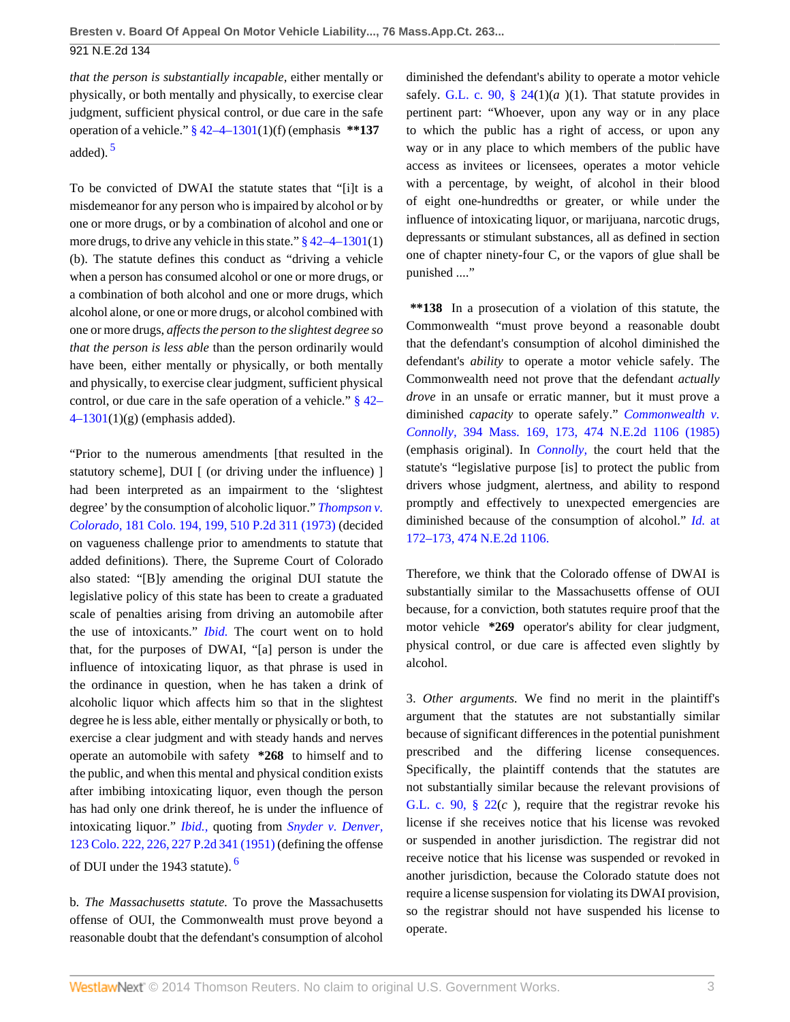*that the person is substantially incapable,* either mentally or physically, or both mentally and physically, to exercise clear judgment, sufficient physical control, or due care in the safe operation of a vehicle." [§ 42–4–1301\(](http://www.westlaw.com/Link/Document/FullText?findType=L&pubNum=1000517&cite=COSTS42-4-1301&originatingDoc=Ia294d128165411df9988d233d23fe599&refType=LQ&originationContext=document&vr=3.0&rs=cblt1.0&transitionType=DocumentItem&contextData=(sc.Search))1)(f) (emphasis **\*\*137** added). [5](#page-3-4)

<span id="page-2-0"></span>To be convicted of DWAI the statute states that "[i]t is a misdemeanor for any person who is impaired by alcohol or by one or more drugs, or by a combination of alcohol and one or more drugs, to drive any vehicle in this state." [§ 42–4–1301](http://www.westlaw.com/Link/Document/FullText?findType=L&pubNum=1000517&cite=COSTS42-4-1301&originatingDoc=Ia294d128165411df9988d233d23fe599&refType=LQ&originationContext=document&vr=3.0&rs=cblt1.0&transitionType=DocumentItem&contextData=(sc.Search))(1) (b). The statute defines this conduct as "driving a vehicle when a person has consumed alcohol or one or more drugs, or a combination of both alcohol and one or more drugs, which alcohol alone, or one or more drugs, or alcohol combined with one or more drugs, *affects the person to the slightest degree so that the person is less able* than the person ordinarily would have been, either mentally or physically, or both mentally and physically, to exercise clear judgment, sufficient physical control, or due care in the safe operation of a vehicle."  $\S$  42–  $4-1301(1)(g)$  (emphasis added).

"Prior to the numerous amendments [that resulted in the statutory scheme], DUI [ (or driving under the influence) ] had been interpreted as an impairment to the 'slightest degree' by the consumption of alcoholic liquor." *[Thompson v.](http://www.westlaw.com/Link/Document/FullText?findType=Y&serNum=1973123547&pubNum=661&originationContext=document&vr=3.0&rs=cblt1.0&transitionType=DocumentItem&contextData=(sc.Search)) Colorado,* [181 Colo. 194, 199, 510 P.2d 311 \(1973\)](http://www.westlaw.com/Link/Document/FullText?findType=Y&serNum=1973123547&pubNum=661&originationContext=document&vr=3.0&rs=cblt1.0&transitionType=DocumentItem&contextData=(sc.Search)) (decided on vagueness challenge prior to amendments to statute that added definitions). There, the Supreme Court of Colorado also stated: "[B]y amending the original DUI statute the legislative policy of this state has been to create a graduated scale of penalties arising from driving an automobile after the use of intoxicants." *[Ibid.](http://www.westlaw.com/Link/Document/FullText?findType=Y&serNum=1973123547&originationContext=document&vr=3.0&rs=cblt1.0&transitionType=DocumentItem&contextData=(sc.Search))* The court went on to hold that, for the purposes of DWAI, "[a] person is under the influence of intoxicating liquor, as that phrase is used in the ordinance in question, when he has taken a drink of alcoholic liquor which affects him so that in the slightest degree he is less able, either mentally or physically or both, to exercise a clear judgment and with steady hands and nerves operate an automobile with safety **\*268** to himself and to the public, and when this mental and physical condition exists after imbibing intoxicating liquor, even though the person has had only one drink thereof, he is under the influence of intoxicating liquor." *[Ibid.,](http://www.westlaw.com/Link/Document/FullText?findType=Y&serNum=1973123547&originationContext=document&vr=3.0&rs=cblt1.0&transitionType=DocumentItem&contextData=(sc.Search))* quoting from *[Snyder v. Denver,](http://www.westlaw.com/Link/Document/FullText?findType=Y&serNum=1951112331&pubNum=661&originationContext=document&vr=3.0&rs=cblt1.0&transitionType=DocumentItem&contextData=(sc.Search))* [123 Colo. 222, 226, 227 P.2d 341 \(1951\)](http://www.westlaw.com/Link/Document/FullText?findType=Y&serNum=1951112331&pubNum=661&originationContext=document&vr=3.0&rs=cblt1.0&transitionType=DocumentItem&contextData=(sc.Search)) (defining the offense of DUI under the 1943 statute). <sup>[6](#page-4-0)</sup>

<span id="page-2-1"></span>b. *The Massachusetts statute.* To prove the Massachusetts offense of OUI, the Commonwealth must prove beyond a reasonable doubt that the defendant's consumption of alcohol diminished the defendant's ability to operate a motor vehicle safely. G.L. c. 90,  $\S$  24(1)(*a*)(1). That statute provides in pertinent part: "Whoever, upon any way or in any place to which the public has a right of access, or upon any way or in any place to which members of the public have access as invitees or licensees, operates a motor vehicle with a percentage, by weight, of alcohol in their blood of eight one-hundredths or greater, or while under the influence of intoxicating liquor, or marijuana, narcotic drugs, depressants or stimulant substances, all as defined in section one of chapter ninety-four C, or the vapors of glue shall be punished ...."

**\*\*138** In a prosecution of a violation of this statute, the Commonwealth "must prove beyond a reasonable doubt that the defendant's consumption of alcohol diminished the defendant's *ability* to operate a motor vehicle safely. The Commonwealth need not prove that the defendant *actually drove* in an unsafe or erratic manner, but it must prove a diminished *capacity* to operate safely." *[Commonwealth v.](http://www.westlaw.com/Link/Document/FullText?findType=Y&serNum=1985112226&pubNum=578&originationContext=document&vr=3.0&rs=cblt1.0&transitionType=DocumentItem&contextData=(sc.Search)) Connolly,* [394 Mass. 169, 173, 474 N.E.2d 1106 \(1985\)](http://www.westlaw.com/Link/Document/FullText?findType=Y&serNum=1985112226&pubNum=578&originationContext=document&vr=3.0&rs=cblt1.0&transitionType=DocumentItem&contextData=(sc.Search)) (emphasis original). In *[Connolly,](http://www.westlaw.com/Link/Document/FullText?findType=Y&serNum=1985112226&originationContext=document&vr=3.0&rs=cblt1.0&transitionType=DocumentItem&contextData=(sc.Search))* the court held that the statute's "legislative purpose [is] to protect the public from drivers whose judgment, alertness, and ability to respond promptly and effectively to unexpected emergencies are diminished because of the consumption of alcohol." *Id.* [at](http://www.westlaw.com/Link/Document/FullText?findType=Y&serNum=1985112226&pubNum=578&originationContext=document&vr=3.0&rs=cblt1.0&transitionType=DocumentItem&contextData=(sc.Search)) [172–173, 474 N.E.2d 1106.](http://www.westlaw.com/Link/Document/FullText?findType=Y&serNum=1985112226&pubNum=578&originationContext=document&vr=3.0&rs=cblt1.0&transitionType=DocumentItem&contextData=(sc.Search))

Therefore, we think that the Colorado offense of DWAI is substantially similar to the Massachusetts offense of OUI because, for a conviction, both statutes require proof that the motor vehicle **\*269** operator's ability for clear judgment, physical control, or due care is affected even slightly by alcohol.

3. *Other arguments.* We find no merit in the plaintiff's argument that the statutes are not substantially similar because of significant differences in the potential punishment prescribed and the differing license consequences. Specifically, the plaintiff contends that the statutes are not substantially similar because the relevant provisions of G.L. c. 90,  $\S$  22 $(c)$ , require that the registrar revoke his license if she receives notice that his license was revoked or suspended in another jurisdiction. The registrar did not receive notice that his license was suspended or revoked in another jurisdiction, because the Colorado statute does not require a license suspension for violating its DWAI provision, so the registrar should not have suspended his license to operate.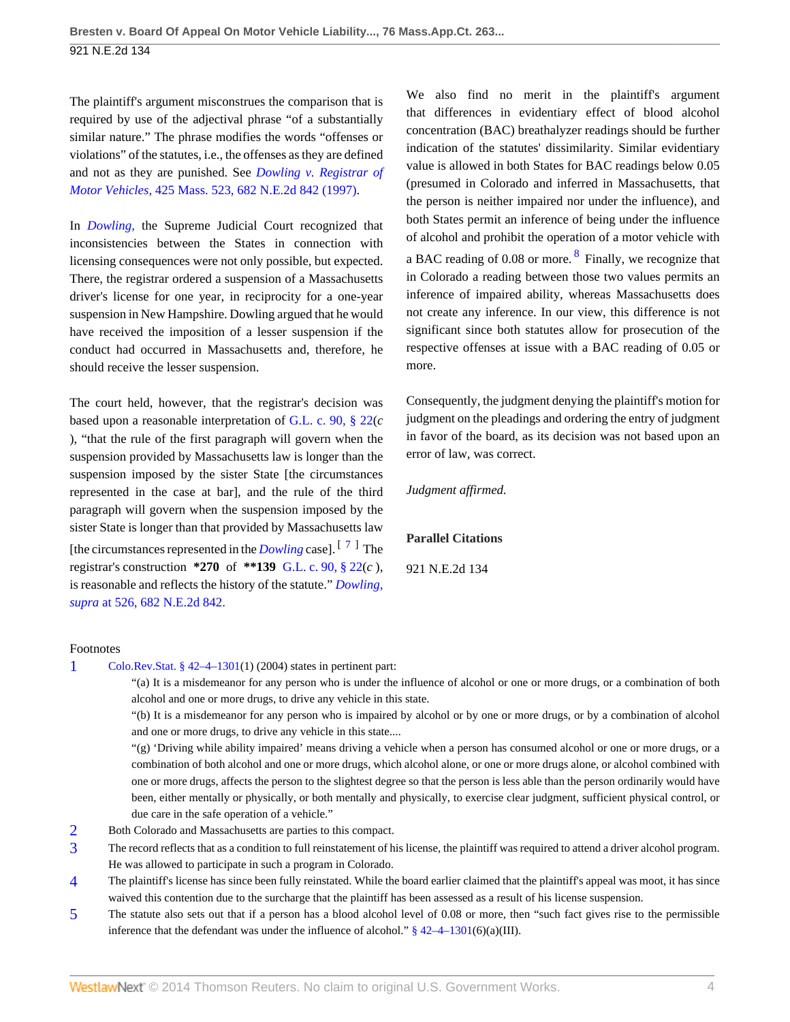The plaintiff's argument misconstrues the comparison that is required by use of the adjectival phrase "of a substantially similar nature." The phrase modifies the words "offenses or violations" of the statutes, i.e., the offenses as they are defined and not as they are punished. See *[Dowling v. Registrar of](http://www.westlaw.com/Link/Document/FullText?findType=Y&serNum=1997152795&pubNum=578&originationContext=document&vr=3.0&rs=cblt1.0&transitionType=DocumentItem&contextData=(sc.Search)) Motor Vehicles,* [425 Mass. 523, 682 N.E.2d 842 \(1997\)](http://www.westlaw.com/Link/Document/FullText?findType=Y&serNum=1997152795&pubNum=578&originationContext=document&vr=3.0&rs=cblt1.0&transitionType=DocumentItem&contextData=(sc.Search)).

In *[Dowling,](http://www.westlaw.com/Link/Document/FullText?findType=Y&serNum=1997152795&originationContext=document&vr=3.0&rs=cblt1.0&transitionType=DocumentItem&contextData=(sc.Search))* the Supreme Judicial Court recognized that inconsistencies between the States in connection with licensing consequences were not only possible, but expected. There, the registrar ordered a suspension of a Massachusetts driver's license for one year, in reciprocity for a one-year suspension in New Hampshire. Dowling argued that he would have received the imposition of a lesser suspension if the conduct had occurred in Massachusetts and, therefore, he should receive the lesser suspension.

The court held, however, that the registrar's decision was based upon a reasonable interpretation of [G.L. c. 90, § 22](http://www.westlaw.com/Link/Document/FullText?findType=L&pubNum=1000042&cite=MAST90S22&originatingDoc=Ia294d128165411df9988d233d23fe599&refType=LQ&originationContext=document&vr=3.0&rs=cblt1.0&transitionType=DocumentItem&contextData=(sc.Search))(*c* ), "that the rule of the first paragraph will govern when the suspension provided by Massachusetts law is longer than the suspension imposed by the sister State [the circumstances represented in the case at bar], and the rule of the third paragraph will govern when the suspension imposed by the sister State is longer than that provided by Massachusetts law [the circumstances represented in the *[Dowling](http://www.westlaw.com/Link/Document/FullText?findType=Y&serNum=1997152795&originationContext=document&vr=3.0&rs=cblt1.0&transitionType=DocumentItem&contextData=(sc.Search))* case]. [ [7](#page-4-1) ] The registrar's construction **\*270** of **\*\*139** [G.L. c. 90, § 22](http://www.westlaw.com/Link/Document/FullText?findType=L&pubNum=1000042&cite=MAST90S22&originatingDoc=Ia294d128165411df9988d233d23fe599&refType=LQ&originationContext=document&vr=3.0&rs=cblt1.0&transitionType=DocumentItem&contextData=(sc.Search))(*c* ), is reasonable and reflects the history of the statute." *[Dowling,](http://www.westlaw.com/Link/Document/FullText?findType=Y&serNum=1997152795&pubNum=578&originationContext=document&vr=3.0&rs=cblt1.0&transitionType=DocumentItem&contextData=(sc.Search)) supra* [at 526, 682 N.E.2d 842.](http://www.westlaw.com/Link/Document/FullText?findType=Y&serNum=1997152795&pubNum=578&originationContext=document&vr=3.0&rs=cblt1.0&transitionType=DocumentItem&contextData=(sc.Search))

We also find no merit in the plaintiff's argument that differences in evidentiary effect of blood alcohol concentration (BAC) breathalyzer readings should be further indication of the statutes' dissimilarity. Similar evidentiary value is allowed in both States for BAC readings below 0.05 (presumed in Colorado and inferred in Massachusetts, that the person is neither impaired nor under the influence), and both States permit an inference of being under the influence of alcohol and prohibit the operation of a motor vehicle with a BAC reading of 0.0[8](#page-4-2) or more. <sup>8</sup> Finally, we recognize that in Colorado a reading between those two values permits an inference of impaired ability, whereas Massachusetts does not create any inference. In our view, this difference is not significant since both statutes allow for prosecution of the respective offenses at issue with a BAC reading of 0.05 or more.

<span id="page-3-6"></span>Consequently, the judgment denying the plaintiff's motion for judgment on the pleadings and ordering the entry of judgment in favor of the board, as its decision was not based upon an error of law, was correct.

*Judgment affirmed.*

#### <span id="page-3-5"></span>**Parallel Citations**

921 N.E.2d 134

#### Footnotes

<span id="page-3-0"></span>[1](#page-1-0) [Colo.Rev.Stat. § 42–4–1301](http://www.westlaw.com/Link/Document/FullText?findType=L&pubNum=1000517&cite=COSTS42-4-1301&originatingDoc=Ia294d128165411df9988d233d23fe599&refType=LQ&originationContext=document&vr=3.0&rs=cblt1.0&transitionType=DocumentItem&contextData=(sc.Search))(1) (2004) states in pertinent part:

"(a) It is a misdemeanor for any person who is under the influence of alcohol or one or more drugs, or a combination of both alcohol and one or more drugs, to drive any vehicle in this state.

"(b) It is a misdemeanor for any person who is impaired by alcohol or by one or more drugs, or by a combination of alcohol and one or more drugs, to drive any vehicle in this state....

"(g) 'Driving while ability impaired' means driving a vehicle when a person has consumed alcohol or one or more drugs, or a combination of both alcohol and one or more drugs, which alcohol alone, or one or more drugs alone, or alcohol combined with one or more drugs, affects the person to the slightest degree so that the person is less able than the person ordinarily would have been, either mentally or physically, or both mentally and physically, to exercise clear judgment, sufficient physical control, or due care in the safe operation of a vehicle."

- <span id="page-3-1"></span>[2](#page-1-1) Both Colorado and Massachusetts are parties to this compact.
- <span id="page-3-2"></span>[3](#page-1-2) The record reflects that as a condition to full reinstatement of his license, the plaintiff was required to attend a driver alcohol program. He was allowed to participate in such a program in Colorado.
- <span id="page-3-3"></span>[4](#page-1-3) The plaintiff's license has since been fully reinstated. While the board earlier claimed that the plaintiff's appeal was moot, it has since waived this contention due to the surcharge that the plaintiff has been assessed as a result of his license suspension.
- <span id="page-3-4"></span>[5](#page-2-0) The statute also sets out that if a person has a blood alcohol level of 0.08 or more, then "such fact gives rise to the permissible inference that the defendant was under the influence of alcohol."  $\S$  42–4–1301(6)(a)(III).